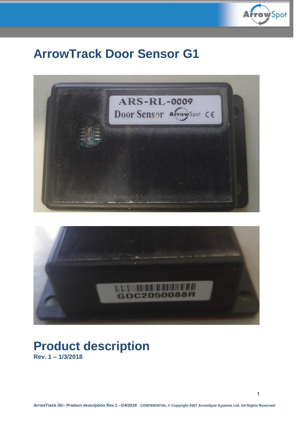

# **ArrowTrack Door Sensor G1**





# **Product description Rev. 1 – 1/3/2018**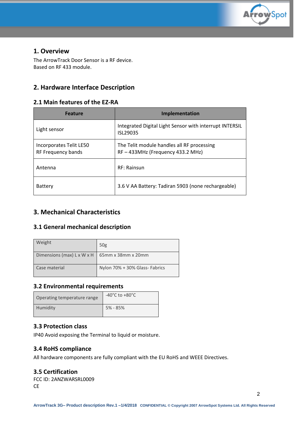

#### **1. Overview**

The ArrowTrack Door Sensor is a RF device. Based on RF 433 module.

## **2. Hardware Interface Description**

#### **2.1 Main features of the EZ-RA**

| <b>Feature</b>                                | Implementation                                                                |
|-----------------------------------------------|-------------------------------------------------------------------------------|
| Light sensor                                  | Integrated Digital Light Sensor with interrupt INTERSIL<br>ISL29035           |
| Incorporates Telit LE50<br>RF Frequency bands | The Telit module handles all RF processing<br>RF-433MHz (Frequency 433.2 MHz) |
| Antenna                                       | RF: Rainsun                                                                   |
| Battery                                       | 3.6 V AA Battery: Tadiran 5903 (none rechargeable)                            |

### **3. Mechanical Characteristics**

#### **3.1 General mechanical description**

| Weight                                               | 50 <sub>g</sub>                |
|------------------------------------------------------|--------------------------------|
| Dimensions (max) L x W x H $\mid$ 65mm x 38mm x 20mm |                                |
| Case material                                        | Nylon 70% + 30% Glass- Fabrics |

#### **3.2 Environmental requirements**

| Operating temperature range | -40 $^{\circ}$ C to +80 $^{\circ}$ C |
|-----------------------------|--------------------------------------|
| Humidity                    | 5% - 85%                             |

#### **3.3 Protection class**

IP40 Avoid exposing the Terminal to liquid or moisture.

#### **3.4 RoHS compliance**

All hardware components are fully compliant with the EU RoHS and WEEE Directives.

#### **3.5 Certification**

FCC ID: 2ANZWARSRL0009 CE